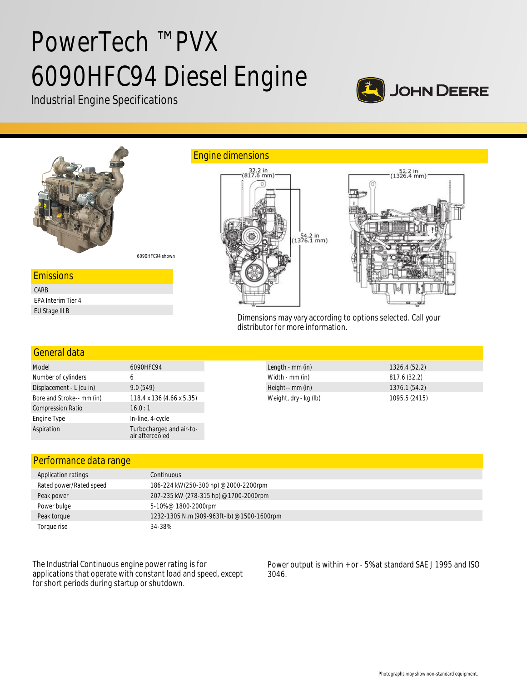# PowerTech ™ PVX 6090HFC94 Diesel Engine

Industrial Engine Specifications





#### General data Model 6090HFC94 Number of cylinders 6 Displacement - L (cu in) 9.0 (549) Bore and Stroke-- mm (in) 118.4 x 136 (4.66 x 5.35) Compression Ratio 16.0:1 Engine Type **In-line**, 4-cycle Aspiration Turbocharged and air-toair aftercooled Length - mm (in) 1326.4 (52.2) Width - mm (in) 817.6 (32.2) Height-- mm (in) 1376.1 (54.2) Weight, dry - kg (lb) 1095.5 (2415)

## Performance data range

| Application ratings     | Continuous                                 |
|-------------------------|--------------------------------------------|
| Rated power/Rated speed | 186-224 kW(250-300 hp) @2000-2200rpm       |
| Peak power              | 207-235 kW (278-315 hp) @1700-2000rpm      |
| Power bulge             | 5-10% @ 1800-2000rpm                       |
| Peak torque             | 1232-1305 N.m (909-963ft-lb) @1500-1600rpm |
| Toraue rise             | 34-38%                                     |

The Industrial Continuous engine power rating is for applications that operate with constant load and speed, except for short periods during startup or shutdown.

Power output is within + or - 5% at standard SAE J 1995 and ISO 3046.